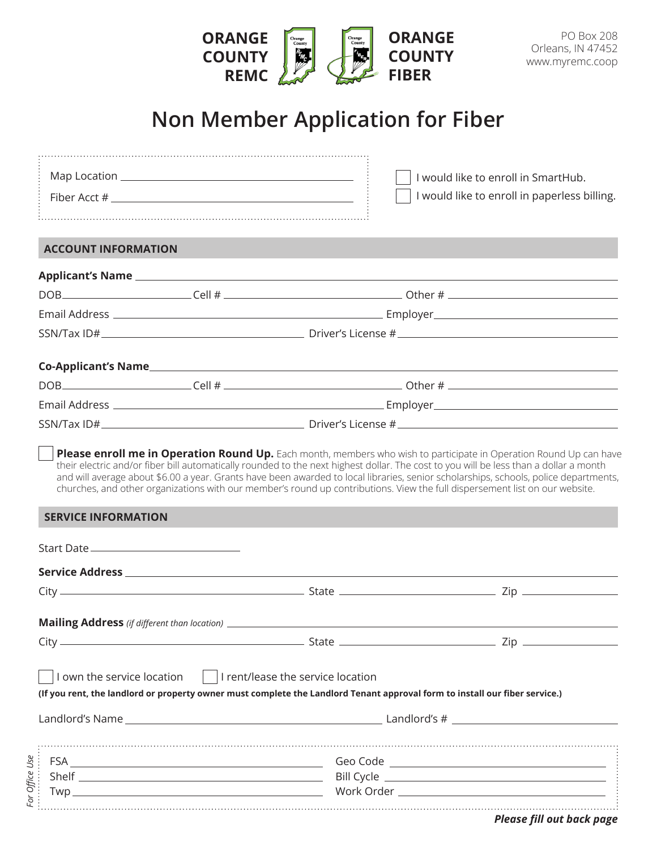|                                               | <b>ORANGE</b><br><b>COUNTY</b><br><b>REMC</b>                                                                                                                                                                                                                        | Orange<br>County<br>Orange<br>County<br>$\frac{R_{E_{M_C}}}{\sqrt{R_{E_{M_C}}}}$ | <b>ORANGE</b><br><b>COUNTY</b><br><b>FIBER</b> | <b>PO Box 208</b><br>Orleans, IN 47452<br>www.myremc.coop                                                                                                                                                                                                  |  |  |
|-----------------------------------------------|----------------------------------------------------------------------------------------------------------------------------------------------------------------------------------------------------------------------------------------------------------------------|----------------------------------------------------------------------------------|------------------------------------------------|------------------------------------------------------------------------------------------------------------------------------------------------------------------------------------------------------------------------------------------------------------|--|--|
| <b>Non Member Application for Fiber</b>       |                                                                                                                                                                                                                                                                      |                                                                                  |                                                |                                                                                                                                                                                                                                                            |  |  |
|                                               |                                                                                                                                                                                                                                                                      |                                                                                  |                                                | I would like to enroll in SmartHub.<br>I would like to enroll in paperless billing.                                                                                                                                                                        |  |  |
| <b>ACCOUNT INFORMATION</b>                    |                                                                                                                                                                                                                                                                      |                                                                                  |                                                |                                                                                                                                                                                                                                                            |  |  |
|                                               |                                                                                                                                                                                                                                                                      |                                                                                  |                                                |                                                                                                                                                                                                                                                            |  |  |
|                                               |                                                                                                                                                                                                                                                                      |                                                                                  |                                                |                                                                                                                                                                                                                                                            |  |  |
|                                               |                                                                                                                                                                                                                                                                      |                                                                                  |                                                |                                                                                                                                                                                                                                                            |  |  |
|                                               |                                                                                                                                                                                                                                                                      |                                                                                  |                                                |                                                                                                                                                                                                                                                            |  |  |
|                                               |                                                                                                                                                                                                                                                                      |                                                                                  |                                                |                                                                                                                                                                                                                                                            |  |  |
|                                               |                                                                                                                                                                                                                                                                      |                                                                                  |                                                |                                                                                                                                                                                                                                                            |  |  |
|                                               |                                                                                                                                                                                                                                                                      |                                                                                  |                                                |                                                                                                                                                                                                                                                            |  |  |
|                                               |                                                                                                                                                                                                                                                                      |                                                                                  |                                                |                                                                                                                                                                                                                                                            |  |  |
|                                               | their electric and/or fiber bill automatically rounded to the next highest dollar. The cost to you will be less than a dollar a month<br>churches, and other organizations with our member's round up contributions. View the full dispersement list on our website. |                                                                                  |                                                | Please enroll me in Operation Round Up. Each month, members who wish to participate in Operation Round Up can have<br>and will average about \$6.00 a year. Grants have been awarded to local libraries, senior scholarships, schools, police departments, |  |  |
| <b>SERVICE INFORMATION</b>                    |                                                                                                                                                                                                                                                                      |                                                                                  |                                                |                                                                                                                                                                                                                                                            |  |  |
| Start Date __________________________________ |                                                                                                                                                                                                                                                                      |                                                                                  |                                                |                                                                                                                                                                                                                                                            |  |  |
|                                               | Service Address <b>Exercise Exercise Contract Contract Contract Contract Contract Contract Contract Contract Contract Contract Contract Contract Contract Contract Contract Contract Contract Contract Contract Contract Contrac</b>                                 |                                                                                  |                                                |                                                                                                                                                                                                                                                            |  |  |
|                                               |                                                                                                                                                                                                                                                                      |                                                                                  |                                                |                                                                                                                                                                                                                                                            |  |  |
|                                               |                                                                                                                                                                                                                                                                      |                                                                                  |                                                |                                                                                                                                                                                                                                                            |  |  |
|                                               |                                                                                                                                                                                                                                                                      |                                                                                  |                                                |                                                                                                                                                                                                                                                            |  |  |
| I own the service location                    |                                                                                                                                                                                                                                                                      | I rent/lease the service location                                                |                                                |                                                                                                                                                                                                                                                            |  |  |

**(If you rent, the landlord or property owner must complete the Landlord Tenant approval form to install our fiber service.)**

| Landlord's Name                        | Landlord's #                                |
|----------------------------------------|---------------------------------------------|
| Use<br>Office<br>Shelf<br>wr<br>$FQ$ : | Geo Code<br><b>Bill Cycle</b><br>Work Order |

*Please fill out back page*